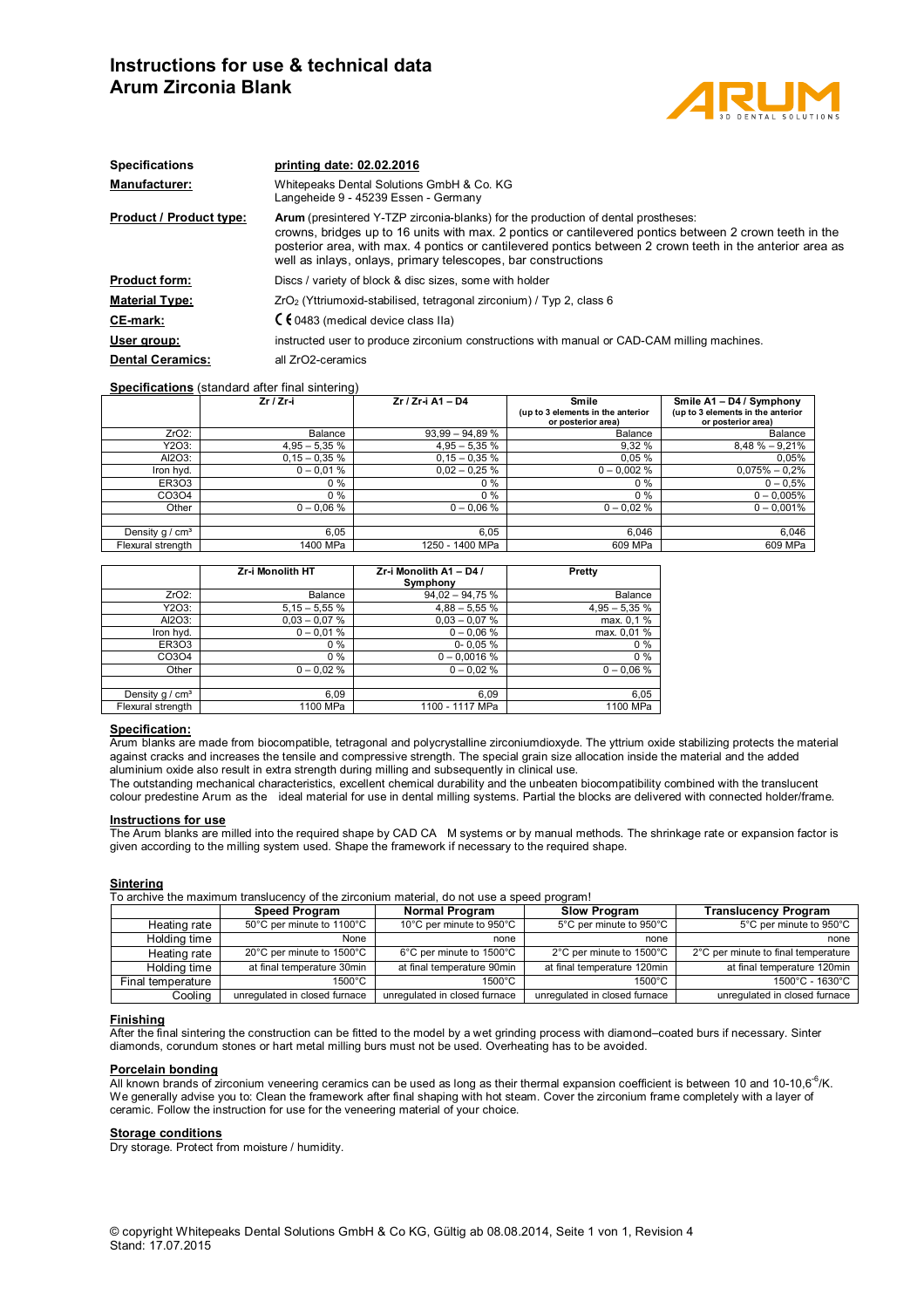# **Instructions for use & technical data Arum Zirconia Blank**



| Whitepeaks Dental Solutions GmbH & Co. KG<br>Langeheide 9 - 45239 Essen - Germany<br><b>Product / Product type:</b><br><b>Arum</b> (presintered Y-TZP zirconia-blanks) for the production of dental prostheses:<br>crowns, bridges up to 16 units with max. 2 pontics or cantilevered pontics between 2 crown teeth in the<br>posterior area, with max. 4 pontics or cantilevered pontics between 2 crown teeth in the anterior area as<br>well as inlays, onlays, primary telescopes, bar constructions<br>Discs / variety of block & disc sizes, some with holder<br>ZrO <sub>2</sub> (Yttriumoxid-stabilised, tetragonal zirconium) / Typ 2, class 6<br>$C \in 0483$ (medical device class IIa)<br>instructed user to produce zirconium constructions with manual or CAD-CAM milling machines.<br>all ZrO2-ceramics | <b>Specifications</b>   | printing date: 02.02.2016 |
|------------------------------------------------------------------------------------------------------------------------------------------------------------------------------------------------------------------------------------------------------------------------------------------------------------------------------------------------------------------------------------------------------------------------------------------------------------------------------------------------------------------------------------------------------------------------------------------------------------------------------------------------------------------------------------------------------------------------------------------------------------------------------------------------------------------------|-------------------------|---------------------------|
|                                                                                                                                                                                                                                                                                                                                                                                                                                                                                                                                                                                                                                                                                                                                                                                                                        | <b>Manufacturer:</b>    |                           |
|                                                                                                                                                                                                                                                                                                                                                                                                                                                                                                                                                                                                                                                                                                                                                                                                                        |                         |                           |
|                                                                                                                                                                                                                                                                                                                                                                                                                                                                                                                                                                                                                                                                                                                                                                                                                        | <b>Product form:</b>    |                           |
|                                                                                                                                                                                                                                                                                                                                                                                                                                                                                                                                                                                                                                                                                                                                                                                                                        | <b>Material Type:</b>   |                           |
|                                                                                                                                                                                                                                                                                                                                                                                                                                                                                                                                                                                                                                                                                                                                                                                                                        | <b>CE-mark:</b>         |                           |
|                                                                                                                                                                                                                                                                                                                                                                                                                                                                                                                                                                                                                                                                                                                                                                                                                        | User group:             |                           |
|                                                                                                                                                                                                                                                                                                                                                                                                                                                                                                                                                                                                                                                                                                                                                                                                                        | <b>Dental Ceramics:</b> |                           |

### **Specifications** (standard after final sintering)

|                   | $Zr / Zr-i$     | Zr / Zr-i A1 - D4 | Smile<br>(up to 3 elements in the anterior<br>or posterior area) | Smile A1 - D4 / Symphony<br>(up to 3 elements in the anterior<br>or posterior area) |
|-------------------|-----------------|-------------------|------------------------------------------------------------------|-------------------------------------------------------------------------------------|
| $ZrO2$ :          | Balance         | $93.99 - 94.89 %$ | Balance                                                          | Balance                                                                             |
| Y2O3:             | $4,95 - 5,35 %$ | $4,95 - 5,35 %$   | 9,32 %                                                           | $8,48 \% - 9,21%$                                                                   |
| AI2O3:            | $0,15 - 0,35 %$ | $0.15 - 0.35 %$   | 0.05%                                                            | 0,05%                                                                               |
| Iron hyd.         | $0 - 0.01 %$    | $0.02 - 0.25 %$   | $0 - 0.002 %$                                                    | $0,075\% - 0,2\%$                                                                   |
| ER303             | $0\%$           | $0\%$             | $0\%$                                                            | $0 - 0.5%$                                                                          |
| CO3O4             | 0 %             | $0\%$             | $0\%$                                                            | $0 - 0.005%$                                                                        |
| Other             | $0 - 0.06 %$    | $0 - 0.06 %$      | $0 - 0.02 \%$                                                    | $0 - 0.001%$                                                                        |
|                   |                 |                   |                                                                  |                                                                                     |
| Density $q / cm3$ | 6.05            | 6.05              | 6.046                                                            | 6,046                                                                               |
| Flexural strength | 1400 MPa        | 1250 - 1400 MPa   | 609 MPa                                                          | 609 MPa                                                                             |

|                   | <b>Zr-i Monolith HT</b> | Zr-i Monolith A1 - D4 /<br>Symphony | Pretty         |
|-------------------|-------------------------|-------------------------------------|----------------|
| $ZrO2$ :          | Balance                 | $94,02 - 94,75%$                    | Balance        |
| Y2O3:             | $5,15 - 5,55%$          | $4,88 - 5,55%$                      | $4,95 - 5,35%$ |
| Al2O3:            | $0.03 - 0.07 %$         | $0.03 - 0.07 %$                     | max. 0,1 %     |
| Iron hyd.         | $0 - 0.01 %$            | $0 - 0.06 %$                        | max. 0,01%     |
| ER303             | 0%                      | $0 - 0.05 %$                        | 0%             |
| CO3O4             | 0%                      | $0 - 0,0016$ %                      | $0\%$          |
| Other             | $0 - 0.02 %$            | $0 - 0.02 %$                        | $0 - 0.06 %$   |
|                   |                         |                                     |                |
| Density $q / cm3$ | 6.09                    | 6.09                                | 6,05           |
| Flexural strength | 1100 MPa                | 1100 - 1117 MPa                     | 1100 MPa       |

### **Specification:**

Arum blanks are made from biocompatible, tetragonal and polycrystalline zirconiumdioxyde. The yttrium oxide stabilizing protects the material against cracks and increases the tensile and compressive strength. The special grain size allocation inside the material and the added aluminium oxide also result in extra strength during milling and subsequently in clinical use.

The outstanding mechanical characteristics, excellent chemical durability and the unbeaten biocompatibility combined with the translucent colour predestine Arum as the ideal material for use in dental milling systems. Partial the blocks are delivered with connected holder/frame.

#### **Instructions for use**

The Arum blanks are milled into the required shape by CAD CA M systems or by manual methods. The shrinkage rate or expansion factor is given according to the milling system used. Shape the framework if necessary to the required shape.

### **Sintering**

To archive the maximum translucency of the zirconium material, do not use a speed program!

|                   | <b>Speed Program</b>          | Normal Program                | <b>Slow Program</b>           | <b>Translucency Program</b>         |
|-------------------|-------------------------------|-------------------------------|-------------------------------|-------------------------------------|
| Heating rate      | 50°C per minute to 1100°C     | 10°C per minute to 950°C      | 5°C per minute to 950°C       | 5°C per minute to 950°C             |
| Holding time      | None                          | none                          | none                          | none                                |
| Heating rate      | 20°C per minute to 1500°C     | 6°C per minute to 1500°C      | 2°C per minute to 1500°C      | 2°C per minute to final temperature |
| Holding time      | at final temperature 30min    | at final temperature 90min    | at final temperature 120min   | at final temperature 120min         |
| Final temperature | $1500^{\circ}$ C              | 1500°C.                       | $1500^{\circ}$ C              | 1500°C - 1630°C                     |
| Cooling           | unregulated in closed furnace | unregulated in closed furnace | unregulated in closed furnace | unrequlated in closed furnace       |

#### **Finishing**

After the final sintering the construction can be fitted to the model by a wet grinding process with diamond–coated burs if necessary. Sinter diamonds, corundum stones or hart metal milling burs must not be used. Overheating has to be avoided.

#### **Porcelain bonding**

All known brands of zirconium veneering ceramics can be used as long as their thermal expansion coefficient is between 10 and 10-10,6<sup>-6</sup>/K. We generally advise you to: Clean the framework after final shaping with hot steam. Cover the zirconium frame completely with a layer of ceramic. Follow the instruction for use for the veneering material of your choice.

### **Storage conditions**

Dry storage. Protect from moisture / humidity.